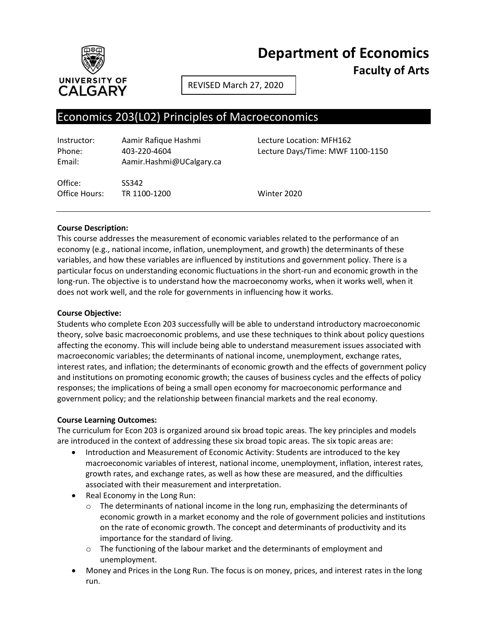

**Department of Economics**

**Faculty of Arts**

REVISED March 27, 2020

# Economics 203(L02) Principles of Macroeconomics

| Instructor: | Aamir Rafique Hashmi     |
|-------------|--------------------------|
| Phone:      | 403-220-4604             |
| Email:      | Aamir.Hashmi@UCalgary.ca |

Office: SS342 Office Hours: TR 1100-1200 Winter 2020

Lecture Location: MFH162 Lecture Days/Time: MWF 1100-1150

# **Course Description:**

This course addresses the measurement of economic variables related to the performance of an economy (e.g., national income, inflation, unemployment, and growth) the determinants of these variables, and how these variables are influenced by institutions and government policy. There is a particular focus on understanding economic fluctuations in the short-run and economic growth in the long-run. The objective is to understand how the macroeconomy works, when it works well, when it does not work well, and the role for governments in influencing how it works.

# **Course Objective:**

Students who complete Econ 203 successfully will be able to understand introductory macroeconomic theory, solve basic macroeconomic problems, and use these techniques to think about policy questions affecting the economy. This will include being able to understand measurement issues associated with macroeconomic variables; the determinants of national income, unemployment, exchange rates, interest rates, and inflation; the determinants of economic growth and the effects of government policy and institutions on promoting economic growth; the causes of business cycles and the effects of policy responses; the implications of being a small open economy for macroeconomic performance and government policy; and the relationship between financial markets and the real economy.

# **Course Learning Outcomes:**

The curriculum for Econ 203 is organized around six broad topic areas. The key principles and models are introduced in the context of addressing these six broad topic areas. The six topic areas are:

- Introduction and Measurement of Economic Activity: Students are introduced to the key macroeconomic variables of interest, national income, unemployment, inflation, interest rates, growth rates, and exchange rates, as well as how these are measured, and the difficulties associated with their measurement and interpretation.
- Real Economy in the Long Run:
	- $\circ$  The determinants of national income in the long run, emphasizing the determinants of economic growth in a market economy and the role of government policies and institutions on the rate of economic growth. The concept and determinants of productivity and its importance for the standard of living.
	- $\circ$  The functioning of the labour market and the determinants of employment and unemployment.
- Money and Prices in the Long Run. The focus is on money, prices, and interest rates in the long run.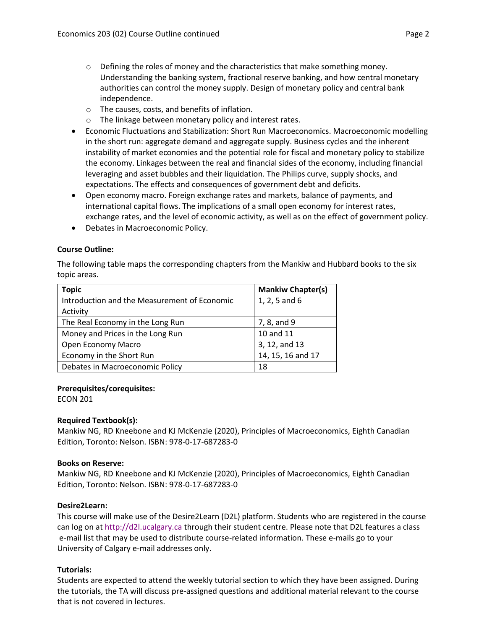- $\circ$  Defining the roles of money and the characteristics that make something money. Understanding the banking system, fractional reserve banking, and how central monetary authorities can control the money supply. Design of monetary policy and central bank independence.
- o The causes, costs, and benefits of inflation.
- o The linkage between monetary policy and interest rates.
- Economic Fluctuations and Stabilization: Short Run Macroeconomics. Macroeconomic modelling in the short run: aggregate demand and aggregate supply. Business cycles and the inherent instability of market economies and the potential role for fiscal and monetary policy to stabilize the economy. Linkages between the real and financial sides of the economy, including financial leveraging and asset bubbles and their liquidation. The Philips curve, supply shocks, and expectations. The effects and consequences of government debt and deficits.
- Open economy macro. Foreign exchange rates and markets, balance of payments, and international capital flows. The implications of a small open economy for interest rates, exchange rates, and the level of economic activity, as well as on the effect of government policy.
- Debates in Macroeconomic Policy.

# **Course Outline:**

The following table maps the corresponding chapters from the Mankiw and Hubbard books to the six topic areas.

| Topic                                        | <b>Mankiw Chapter(s)</b> |
|----------------------------------------------|--------------------------|
| Introduction and the Measurement of Economic | 1, 2, 5 and 6            |
| Activity                                     |                          |
| The Real Economy in the Long Run             | 7, 8, and 9              |
| Money and Prices in the Long Run             | 10 and 11                |
| Open Economy Macro                           | 3, 12, and 13            |
| Economy in the Short Run                     | 14, 15, 16 and 17        |
| Debates in Macroeconomic Policy              | 18                       |

# **Prerequisites/corequisites:**

ECON 201

# **Required Textbook(s):**

Mankiw NG, RD Kneebone and KJ McKenzie (2020), Principles of Macroeconomics, Eighth Canadian Edition, Toronto: Nelson. ISBN: 978-0-17-687283-0

# **Books on Reserve:**

Mankiw NG, RD Kneebone and KJ McKenzie (2020), Principles of Macroeconomics, Eighth Canadian Edition, Toronto: Nelson. ISBN: 978-0-17-687283-0

# **Desire2Learn:**

This course will make use of the Desire2Learn (D2L) platform. Students who are registered in the course can log on a[t http://d2l.ucalgary.ca](http://d2l.ucalgary.ca/) through their student centre. Please note that D2L features a class e-mail list that may be used to distribute course-related information. These e-mails go to your University of Calgary e-mail addresses only.

# **Tutorials:**

Students are expected to attend the weekly tutorial section to which they have been assigned. During the tutorials, the TA will discuss pre-assigned questions and additional material relevant to the course that is not covered in lectures.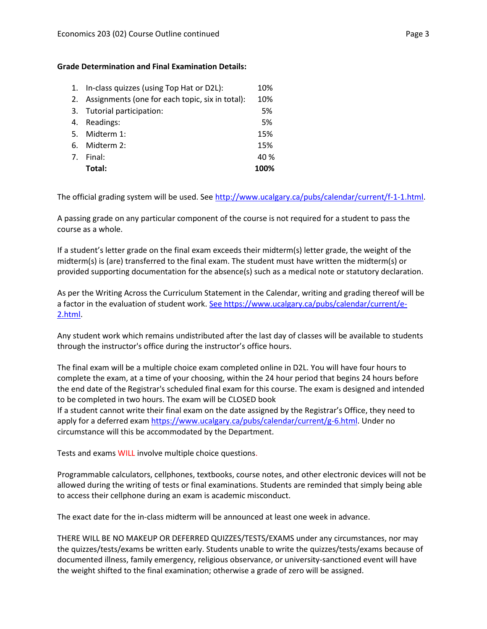# **Grade Determination and Final Examination Details:**

|    | 1. In-class quizzes (using Top Hat or D2L):        | 10%  |
|----|----------------------------------------------------|------|
|    | 2. Assignments (one for each topic, six in total): | 10%  |
|    | 3. Tutorial participation:                         | 5%   |
| 4. | Readings:                                          | 5%   |
|    | 5. Midterm 1:                                      | 15%  |
| 6. | Midterm 2:                                         | 15%  |
| 7. | Final:                                             | 40 % |
|    | Total:                                             | 100% |

The official grading system will be used. Se[e http://www.ucalgary.ca/pubs/calendar/current/f-1-1.html.](http://www.ucalgary.ca/pubs/calendar/current/f-1-1.html)

A passing grade on any particular component of the course is not required for a student to pass the course as a whole.

If a student's letter grade on the final exam exceeds their midterm(s) letter grade, the weight of the midterm(s) is (are) transferred to the final exam. The student must have written the midterm(s) or provided supporting documentation for the absence(s) such as a medical note or statutory declaration.

As per the Writing Across the Curriculum Statement in the Calendar, writing and grading thereof will be a factor in the evaluation of student work. [See https://www.ucalgary.ca/pubs/calendar/current/e-](https://www.ucalgary.ca/pubs/calendar/current/e-2.html)[2.html.](https://www.ucalgary.ca/pubs/calendar/current/e-2.html)

Any student work which remains undistributed after the last day of classes will be available to students through the instructor's office during the instructor's office hours.

The final exam will be a multiple choice exam completed online in D2L. You will have four hours to complete the exam, at a time of your choosing, within the 24 hour period that begins 24 hours before the end date of the Registrar's scheduled final exam for this course. The exam is designed and intended to be completed in two hours. The exam will be CLOSED book

If a student cannot write their final exam on the date assigned by the Registrar's Office, they need to apply for a deferred exam [https://www.ucalgary.ca/pubs/calendar/current/g-6.html.](http://www.ucalgary.ca/registrar/exams/deferred_final) Under no circumstance will this be accommodated by the Department.

Tests and exams WILL involve multiple choice questions.

Programmable calculators, cellphones, textbooks, course notes, and other electronic devices will not be allowed during the writing of tests or final examinations. Students are reminded that simply being able to access their cellphone during an exam is academic misconduct.

The exact date for the in-class midterm will be announced at least one week in advance.

THERE WILL BE NO MAKEUP OR DEFERRED QUIZZES/TESTS/EXAMS under any circumstances, nor may the quizzes/tests/exams be written early. Students unable to write the quizzes/tests/exams because of documented illness, family emergency, religious observance, or university-sanctioned event will have the weight shifted to the final examination; otherwise a grade of zero will be assigned.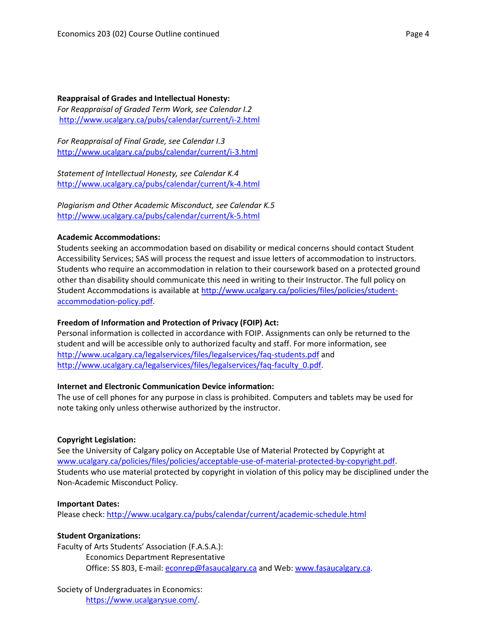**Reappraisal of Grades and Intellectual Honesty:** *For Reappraisal of Graded Term Work, see Calendar I.2* <http://www.ucalgary.ca/pubs/calendar/current/i-2.html>

*For Reappraisal of Final Grade, see Calendar I.3* <http://www.ucalgary.ca/pubs/calendar/current/i-3.html>

*Statement of Intellectual Honesty, see Calendar K.4* <http://www.ucalgary.ca/pubs/calendar/current/k-4.html>

*Plagiarism and Other Academic Misconduct, see Calendar K.5* <http://www.ucalgary.ca/pubs/calendar/current/k-5.html>

#### **Academic Accommodations:**

Students seeking an accommodation based on disability or medical concerns should contact Student Accessibility Services; SAS will process the request and issue letters of accommodation to instructors. Students who require an accommodation in relation to their coursework based on a protected ground other than disability should communicate this need in writing to their Instructor. The full policy on Student Accommodations is available at [http://www.ucalgary.ca/policies/files/policies/student](http://www.ucalgary.ca/policies/files/policies/student-accommodation-policy.pdf)[accommodation-policy.pdf.](http://www.ucalgary.ca/policies/files/policies/student-accommodation-policy.pdf)

# **Freedom of Information and Protection of Privacy (FOIP) Act:**

Personal information is collected in accordance with FOIP. Assignments can only be returned to the student and will be accessible only to authorized faculty and staff. For more information, see <http://www.ucalgary.ca/legalservices/files/legalservices/faq-students.pdf> and [http://www.ucalgary.ca/legalservices/files/legalservices/faq-faculty\\_0.pdf.](http://www.ucalgary.ca/legalservices/files/legalservices/faq-faculty_0.pdf)

# **Internet and Electronic Communication Device information:**

The use of cell phones for any purpose in class is prohibited. Computers and tablets may be used for note taking only unless otherwise authorized by the instructor.

#### **Copyright Legislation:**

See the University of Calgary policy on Acceptable Use of Material Protected by Copyright at [www.ucalgary.ca/policies/files/policies/acceptable-use-of-material-protected-by-copyright.pdf.](http://www.ucalgary.ca/policies/files/policies/acceptable-use-of-material-protected-by-copyright.pdf) Students who use material protected by copyright in violation of this policy may be disciplined under the Non-Academic Misconduct Policy.

#### **Important Dates:**

Please check:<http://www.ucalgary.ca/pubs/calendar/current/academic-schedule.html>

# **Student Organizations:**

Faculty of Arts Students' Association (F.A.S.A.): Economics Department Representative Office: SS 803, E-mail: [econrep@fasaucalgary.ca](mailto:econrep@fasaucalgary.ca) and Web: [www.fasaucalgary.ca.](http://www.fasaucalgary.ca/)

# Society of Undergraduates in Economics:

[https://www.ucalgarysue.com/.](https://www.ucalgarysue.com/)